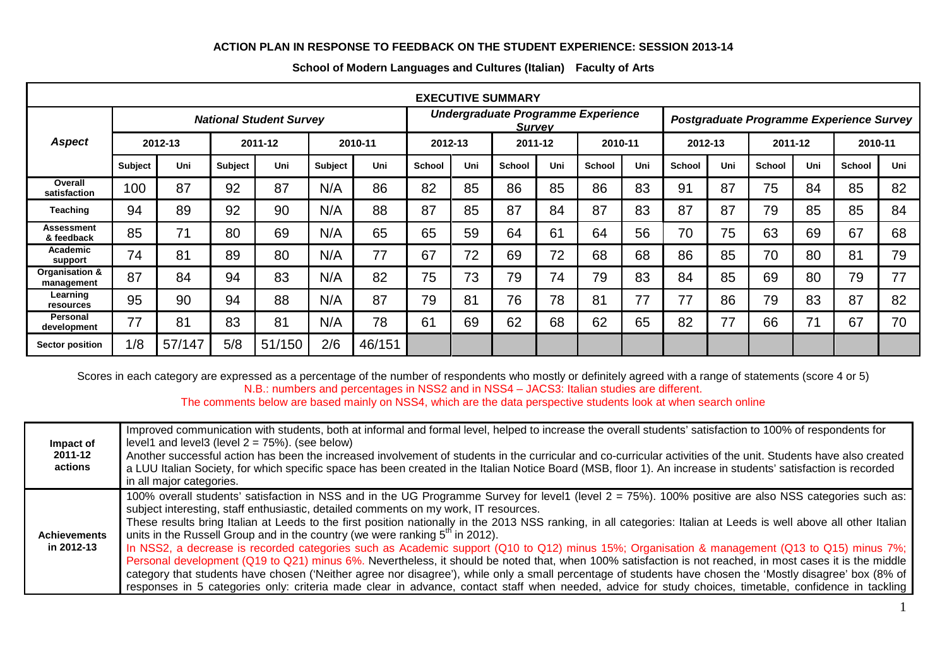## **ACTION PLAN IN RESPONSE TO FEEDBACK ON THE STUDENT EXPERIENCE: SESSION 2013-14**

| <b>EXECUTIVE SUMMARY</b>        |                                |        |                |        |                |        |                                                     |     |               |     |               |                                          |               |     |               |     |         |     |
|---------------------------------|--------------------------------|--------|----------------|--------|----------------|--------|-----------------------------------------------------|-----|---------------|-----|---------------|------------------------------------------|---------------|-----|---------------|-----|---------|-----|
|                                 | <b>National Student Survey</b> |        |                |        |                |        | Undergraduate Programme Experience<br><b>Survey</b> |     |               |     |               | Postgraduate Programme Experience Survey |               |     |               |     |         |     |
| <b>Aspect</b>                   | 2012-13                        |        | 2011-12        |        | 2010-11        |        | 2012-13                                             |     | 2011-12       |     | 2010-11       |                                          | 2012-13       |     | 2011-12       |     | 2010-11 |     |
|                                 | <b>Subject</b>                 | Uni    | <b>Subject</b> | Uni    | <b>Subject</b> | Uni    | <b>School</b>                                       | Uni | <b>School</b> | Uni | <b>School</b> | Uni                                      | <b>School</b> | Uni | <b>School</b> | Uni | School  | Uni |
| Overall<br>satisfaction         | 100                            | 87     | 92             | 87     | N/A            | 86     | 82                                                  | 85  | 86            | 85  | 86            | 83                                       | 91            | 87  | 75            | 84  | 85      | 82  |
| Teaching                        | 94                             | 89     | 92             | 90     | N/A            | 88     | 87                                                  | 85  | 87            | 84  | 87            | 83                                       | 87            | 87  | 79            | 85  | 85      | 84  |
| <b>Assessment</b><br>& feedback | 85                             | 71     | 80             | 69     | N/A            | 65     | 65                                                  | 59  | 64            | 61  | 64            | 56                                       | 70            | 75  | 63            | 69  | 67      | 68  |
| Academic<br>support             | 74                             | 81     | 89             | 80     | N/A            | 77     | 67                                                  | 72  | 69            | 72  | 68            | 68                                       | 86            | 85  | 70            | 80  | 81      | 79  |
| Organisation &<br>management    | 87                             | 84     | 94             | 83     | N/A            | 82     | 75                                                  | 73  | 79            | 74  | 79            | 83                                       | 84            | 85  | 69            | 80  | 79      | 77  |
| Learning<br>resources           | 95                             | 90     | 94             | 88     | N/A            | 87     | 79                                                  | 81  | 76            | 78  | 81            | 77                                       | 77            | 86  | 79            | 83  | 87      | 82  |
| <b>Personal</b><br>development  | 77                             | 81     | 83             | 81     | N/A            | 78     | 61                                                  | 69  | 62            | 68  | 62            | 65                                       | 82            | 77  | 66            | 71  | 67      | 70  |
| Sector position                 | 1/8                            | 57/147 | 5/8            | 51/150 | 2/6            | 46/151 |                                                     |     |               |     |               |                                          |               |     |               |     |         |     |

## **School of Modern Languages and Cultures (Italian) Faculty of Arts**

Scores in each category are expressed as a percentage of the number of respondents who mostly or definitely agreed with a range of statements (score 4 or 5) N.B.: numbers and percentages in NSS2 and in NSS4 – JACS3: Italian studies are different.

The comments below are based mainly on NSS4, which are the data perspective students look at when search online

| Impact of<br>2011-12<br>actions   | Improved communication with students, both at informal and formal level, helped to increase the overall students' satisfaction to 100% of respondents for<br>level1 and level3 (level $2 = 75\%$ ). (see below)<br>Another successful action has been the increased involvement of students in the curricular and co-curricular activities of the unit. Students have also created<br>a LUU Italian Society, for which specific space has been created in the Italian Notice Board (MSB, floor 1). An increase in students' satisfaction is recorded<br>in all major categories.                                                                                                                                                                                                                                                                                                                                                                                                                                                                                                                                                       |
|-----------------------------------|----------------------------------------------------------------------------------------------------------------------------------------------------------------------------------------------------------------------------------------------------------------------------------------------------------------------------------------------------------------------------------------------------------------------------------------------------------------------------------------------------------------------------------------------------------------------------------------------------------------------------------------------------------------------------------------------------------------------------------------------------------------------------------------------------------------------------------------------------------------------------------------------------------------------------------------------------------------------------------------------------------------------------------------------------------------------------------------------------------------------------------------|
| <b>Achievements</b><br>in 2012-13 | 100% overall students' satisfaction in NSS and in the UG Programme Survey for level1 (level 2 = 75%). 100% positive are also NSS categories such as:<br>subject interesting, staff enthusiastic, detailed comments on my work, IT resources.<br>These results bring Italian at Leeds to the first position nationally in the 2013 NSS ranking, in all categories: Italian at Leeds is well above all other Italian<br>units in the Russell Group and in the country (we were ranking $5m$ in 2012).<br>In NSS2, a decrease is recorded categories such as Academic support (Q10 to Q12) minus 15%; Organisation & management (Q13 to Q15) minus 7%;<br>Personal development (Q19 to Q21) minus 6%. Nevertheless, it should be noted that, when 100% satisfaction is not reached, in most cases it is the middle<br>category that students have chosen ('Neither agree nor disagree'), while only a small percentage of students have chosen the 'Mostly disagree' box (8% of<br>responses in 5 categories only: criteria made clear in advance, contact staff when needed, advice for study choices, timetable, confidence in tackling |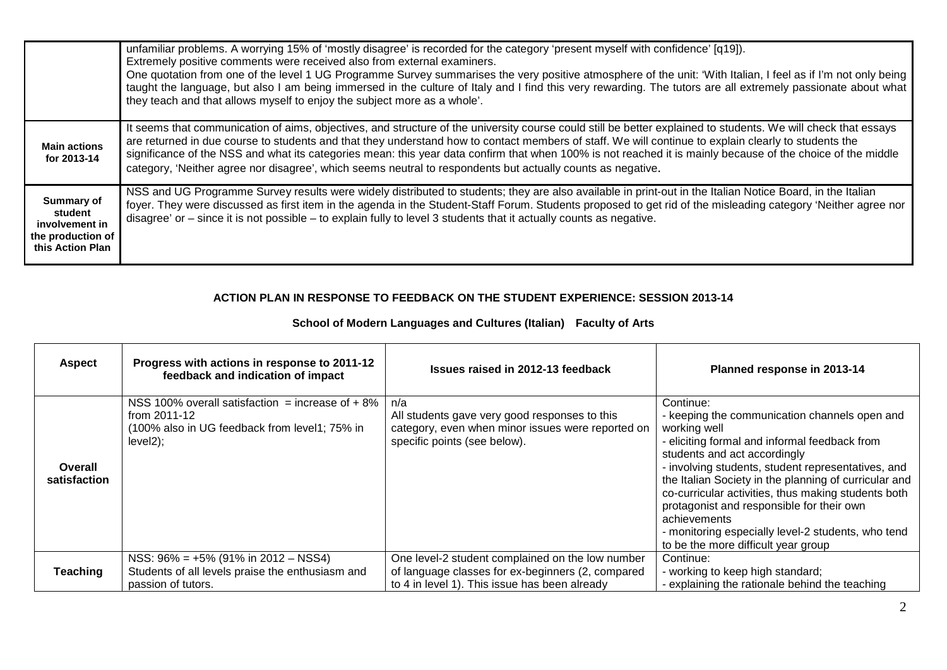|                                                                                  | unfamiliar problems. A worrying 15% of 'mostly disagree' is recorded for the category 'present myself with confidence' [q19]).<br>Extremely positive comments were received also from external examiners.<br>One quotation from one of the level 1 UG Programme Survey summarises the very positive atmosphere of the unit: 'With Italian, I feel as if I'm not only being<br>taught the language, but also I am being immersed in the culture of Italy and I find this very rewarding. The tutors are all extremely passionate about what<br>they teach and that allows myself to enjoy the subject more as a whole'. |
|----------------------------------------------------------------------------------|------------------------------------------------------------------------------------------------------------------------------------------------------------------------------------------------------------------------------------------------------------------------------------------------------------------------------------------------------------------------------------------------------------------------------------------------------------------------------------------------------------------------------------------------------------------------------------------------------------------------|
| <b>Main actions</b><br>for 2013-14                                               | It seems that communication of aims, objectives, and structure of the university course could still be better explained to students. We will check that essays<br>are returned in due course to students and that they understand how to contact members of staff. We will continue to explain clearly to students the<br>significance of the NSS and what its categories mean: this year data confirm that when 100% is not reached it is mainly because of the choice of the middle<br>category, 'Neither agree nor disagree', which seems neutral to respondents but actually counts as negative.                   |
| Summary of<br>student<br>involvement in<br>the production of<br>this Action Plan | NSS and UG Programme Survey results were widely distributed to students; they are also available in print-out in the Italian Notice Board, in the Italian<br>foyer. They were discussed as first item in the agenda in the Student-Staff Forum. Students proposed to get rid of the misleading category 'Neither agree nor<br>disagree' or $-$ since it is not possible $-$ to explain fully to level 3 students that it actually counts as negative.                                                                                                                                                                  |

## **ACTION PLAN IN RESPONSE TO FEEDBACK ON THE STUDENT EXPERIENCE: SESSION 2013-14**

| <b>Aspect</b>           | Progress with actions in response to 2011-12<br>feedback and indication of impact                                               | Issues raised in 2012-13 feedback                                                                                                                      | Planned response in 2013-14                                                                                                                                                                                                                                                                                                                                                                                                                                                                 |
|-------------------------|---------------------------------------------------------------------------------------------------------------------------------|--------------------------------------------------------------------------------------------------------------------------------------------------------|---------------------------------------------------------------------------------------------------------------------------------------------------------------------------------------------------------------------------------------------------------------------------------------------------------------------------------------------------------------------------------------------------------------------------------------------------------------------------------------------|
| Overall<br>satisfaction | NSS 100% overall satisfaction = increase of $+8\%$<br>from 2011-12<br>(100% also in UG feedback from level1; 75% in<br>level2); | n/a<br>All students gave very good responses to this<br>category, even when minor issues were reported on<br>specific points (see below).              | Continue:<br>- keeping the communication channels open and<br>working well<br>- eliciting formal and informal feedback from<br>students and act accordingly<br>- involving students, student representatives, and<br>the Italian Society in the planning of curricular and<br>co-curricular activities, thus making students both<br>protagonist and responsible for their own<br>achievements<br>- monitoring especially level-2 students, who tend<br>to be the more difficult year group |
| Teaching                | NSS: $96\% = +5\%$ (91% in 2012 – NSS4)<br>Students of all levels praise the enthusiasm and<br>passion of tutors.               | One level-2 student complained on the low number<br>of language classes for ex-beginners (2, compared<br>to 4 in level 1). This issue has been already | Continue:<br>- working to keep high standard;<br>- explaining the rationale behind the teaching                                                                                                                                                                                                                                                                                                                                                                                             |